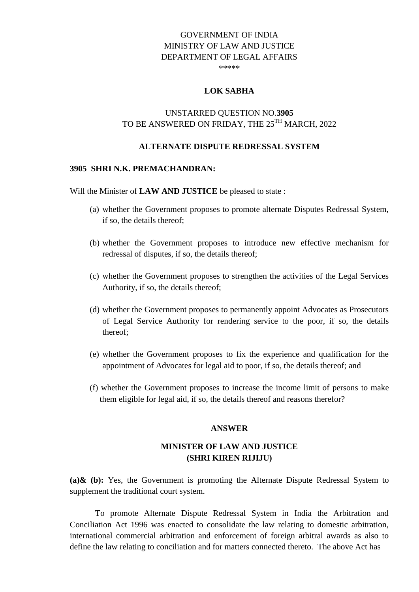# GOVERNMENT OF INDIA MINISTRY OF LAW AND JUSTICE DEPARTMENT OF LEGAL AFFAIRS

\*\*\*\*\*

### **LOK SABHA**

# UNSTARRED QUESTION NO.**3905** TO BE ANSWERED ON FRIDAY, THE 25<sup>TH</sup> MARCH, 2022

### **ALTERNATE DISPUTE REDRESSAL SYSTEM**

#### **3905 SHRI N.K. PREMACHANDRAN:**

Will the Minister of **LAW AND JUSTICE** be pleased to state :

- (a) whether the Government proposes to promote alternate Disputes Redressal System, if so, the details thereof;
- (b) whether the Government proposes to introduce new effective mechanism for redressal of disputes, if so, the details thereof;
- (c) whether the Government proposes to strengthen the activities of the Legal Services Authority, if so, the details thereof;
- (d) whether the Government proposes to permanently appoint Advocates as Prosecutors of Legal Service Authority for rendering service to the poor, if so, the details thereof;
- (e) whether the Government proposes to fix the experience and qualification for the appointment of Advocates for legal aid to poor, if so, the details thereof; and
- (f) whether the Government proposes to increase the income limit of persons to make them eligible for legal aid, if so, the details thereof and reasons therefor?

#### **ANSWER**

## **MINISTER OF LAW AND JUSTICE (SHRI KIREN RIJIJU)**

**(a)& (b):** Yes, the Government is promoting the Alternate Dispute Redressal System to supplement the traditional court system.

To promote Alternate Dispute Redressal System in India the Arbitration and Conciliation Act 1996 was enacted to consolidate the law relating to domestic arbitration, international commercial arbitration and enforcement of foreign arbitral awards as also to define the law relating to conciliation and for matters connected thereto. The above Act has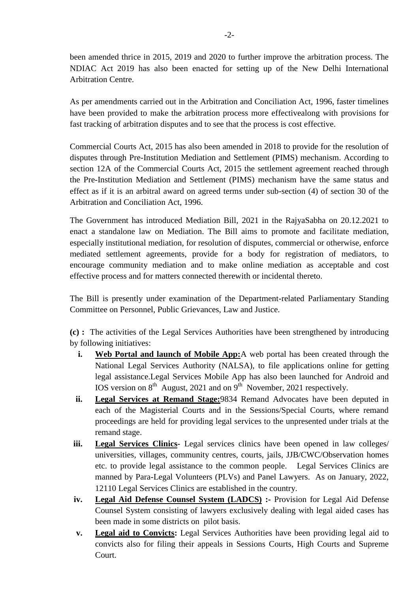been amended thrice in 2015, 2019 and 2020 to further improve the arbitration process. The NDIAC Act 2019 has also been enacted for setting up of the New Delhi International Arbitration Centre.

As per amendments carried out in the Arbitration and Conciliation Act, 1996, faster timelines have been provided to make the arbitration process more effectivealong with provisions for fast tracking of arbitration disputes and to see that the process is cost effective.

Commercial Courts Act, 2015 has also been amended in 2018 to provide for the resolution of disputes through Pre-Institution Mediation and Settlement (PIMS) mechanism. According to section 12A of the Commercial Courts Act, 2015 the settlement agreement reached through the Pre-Institution Mediation and Settlement (PIMS) mechanism have the same status and effect as if it is an arbitral award on agreed terms under sub-section (4) of section 30 of the Arbitration and Conciliation Act, 1996.

The Government has introduced Mediation Bill, 2021 in the RajyaSabha on 20.12.2021 to enact a standalone law on Mediation. The Bill aims to promote and facilitate mediation, especially institutional mediation, for resolution of disputes, commercial or otherwise, enforce mediated settlement agreements, provide for a body for registration of mediators, to encourage community mediation and to make online mediation as acceptable and cost effective process and for matters connected therewith or incidental thereto.

The Bill is presently under examination of the Department-related Parliamentary Standing Committee on Personnel, Public Grievances, Law and Justice.

**(c) :** The activities of the Legal Services Authorities have been strengthened by introducing by following initiatives:

- **i.** Web Portal and launch of Mobile App: A web portal has been created through the National Legal Services Authority (NALSA), to file applications online for getting legal assistance.Legal Services Mobile App has also been launched for Android and IOS version on  $8<sup>th</sup>$  August, 2021 and on  $9<sup>th</sup>$  November, 2021 respectively.
- **ii. Legal Services at Remand Stage:**9834 Remand Advocates have been deputed in each of the Magisterial Courts and in the Sessions/Special Courts, where remand proceedings are held for providing legal services to the unpresented under trials at the remand stage.
- **iii. Legal Services Clinics** Legal services clinics have been opened in law colleges/ universities, villages, community centres, courts, jails, JJB/CWC/Observation homes etc. to provide legal assistance to the common people. Legal Services Clinics are manned by Para-Legal Volunteers (PLVs) and Panel Lawyers. As on January, 2022, 12110 Legal Services Clinics are established in the country.
- **iv. Legal Aid Defense Counsel System (LADCS) :-** Provision for Legal Aid Defense Counsel System consisting of lawyers exclusively dealing with legal aided cases has been made in some districts on pilot basis.
- **v. Legal aid to Convicts:** Legal Services Authorities have been providing legal aid to convicts also for filing their appeals in Sessions Courts, High Courts and Supreme Court.